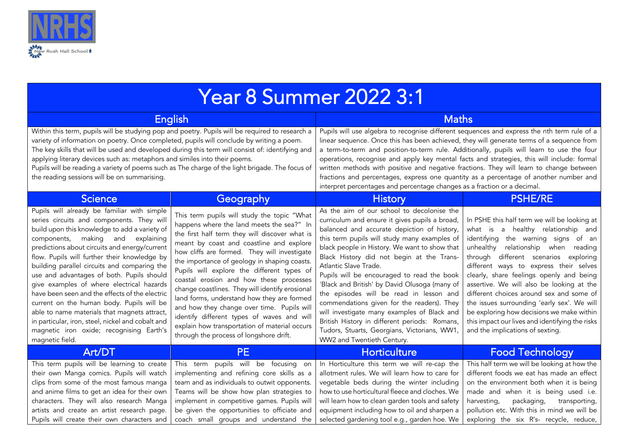

| <b>Year 8 Summer 2022 3:1</b>                                                                                                                                                                                                                                                                                                                                                                                                                                                                                                                                                                                                                                                                   |                                                                                                                                                                                                                                                                                                                                                                                                                                                                                                                                                                                                                                                                          |                                                                                                                                                                                                                                                                                                                                                                                                                                                                                                                                                                                                                                                                                          |                                                                                                                                                                                                                                                                                                                                                                                                                                                                                                                                                                             |  |
|-------------------------------------------------------------------------------------------------------------------------------------------------------------------------------------------------------------------------------------------------------------------------------------------------------------------------------------------------------------------------------------------------------------------------------------------------------------------------------------------------------------------------------------------------------------------------------------------------------------------------------------------------------------------------------------------------|--------------------------------------------------------------------------------------------------------------------------------------------------------------------------------------------------------------------------------------------------------------------------------------------------------------------------------------------------------------------------------------------------------------------------------------------------------------------------------------------------------------------------------------------------------------------------------------------------------------------------------------------------------------------------|------------------------------------------------------------------------------------------------------------------------------------------------------------------------------------------------------------------------------------------------------------------------------------------------------------------------------------------------------------------------------------------------------------------------------------------------------------------------------------------------------------------------------------------------------------------------------------------------------------------------------------------------------------------------------------------|-----------------------------------------------------------------------------------------------------------------------------------------------------------------------------------------------------------------------------------------------------------------------------------------------------------------------------------------------------------------------------------------------------------------------------------------------------------------------------------------------------------------------------------------------------------------------------|--|
| English                                                                                                                                                                                                                                                                                                                                                                                                                                                                                                                                                                                                                                                                                         |                                                                                                                                                                                                                                                                                                                                                                                                                                                                                                                                                                                                                                                                          | <b>Maths</b>                                                                                                                                                                                                                                                                                                                                                                                                                                                                                                                                                                                                                                                                             |                                                                                                                                                                                                                                                                                                                                                                                                                                                                                                                                                                             |  |
| Within this term, pupils will be studying pop and poetry. Pupils will be required to research a<br>variety of information on poetry. Once completed, pupils will conclude by writing a poem.<br>The key skills that will be used and developed during this term will consist of: identifying and<br>applying literary devices such as: metaphors and similes into their poems.<br>Pupils will be reading a variety of poems such as The charge of the light brigade. The focus of<br>the reading sessions will be on summarising.                                                                                                                                                               |                                                                                                                                                                                                                                                                                                                                                                                                                                                                                                                                                                                                                                                                          | Pupils will use algebra to recognise different sequences and express the nth term rule of a<br>linear sequence. Once this has been achieved, they will generate terms of a sequence from<br>a term-to-term and position-to-term rule. Additionally, pupils will learn to use the four<br>operations, recognise and apply key mental facts and strategies, this will include: formal<br>written methods with positive and negative fractions. They will learn to change between<br>fractions and percentages, express one quantity as a percentage of another number and<br>interpret percentages and percentage changes as a fraction or a decimal.                                      |                                                                                                                                                                                                                                                                                                                                                                                                                                                                                                                                                                             |  |
| <b>Science</b>                                                                                                                                                                                                                                                                                                                                                                                                                                                                                                                                                                                                                                                                                  | Geography                                                                                                                                                                                                                                                                                                                                                                                                                                                                                                                                                                                                                                                                | <b>History</b>                                                                                                                                                                                                                                                                                                                                                                                                                                                                                                                                                                                                                                                                           | <b>PSHE/RE</b>                                                                                                                                                                                                                                                                                                                                                                                                                                                                                                                                                              |  |
| Pupils will already be familiar with simple<br>series circuits and components. They will<br>build upon this knowledge to add a variety of<br>components, making and<br>explaining<br>predictions about circuits and energy/current<br>flow. Pupils will further their knowledge by<br>building parallel circuits and comparing the<br>use and advantages of both. Pupils should<br>give examples of where electrical hazards<br>have been seen and the effects of the electric<br>current on the human body. Pupils will be<br>able to name materials that magnets attract,<br>in particular, iron, steel, nickel and cobalt and<br>magnetic iron oxide; recognising Earth's<br>magnetic field. | This term pupils will study the topic "What<br>happens where the land meets the sea?" In<br>the first half term they will discover what is<br>meant by coast and coastline and explore<br>how cliffs are formed. They will investigate<br>the importance of geology in shaping coasts.<br>Pupils will explore the different types of<br>coastal erosion and how these processes<br>change coastlines. They will identify erosional<br>land forms, understand how they are formed<br>and how they change over time. Pupils will<br>identify different types of waves and will<br>explain how transportation of material occurs<br>through the process of longshore drift. | As the aim of our school to decolonise the<br>curriculum and ensure it gives pupils a broad,<br>balanced and accurate depiction of history,<br>this term pupils will study many examples of<br>black people in History. We want to show that<br>Black History did not begin at the Trans-<br>Atlantic Slave Trade.<br>Pupils will be encouraged to read the book<br>'Black and British' by David Olusoga (many of<br>the episodes will be read in lesson and<br>commendations given for the readers). They<br>will investigate many examples of Black and<br>British History in different periods: Romans,<br>Tudors, Stuarts, Georgians, Victorians, WW1,<br>WW2 and Twentieth Century. | In PSHE this half term we will be looking at<br>what is a healthy relationship and<br>identifying the warning signs of an<br>unhealthy relationship when reading<br>through different scenarios exploring<br>different ways to express their selves<br>clearly, share feelings openly and being<br>assertive. We will also be looking at the<br>different choices around sex and some of<br>the issues surrounding 'early sex'. We will<br>be exploring how decisions we make within<br>this impact our lives and identifying the risks<br>and the implications of sexting. |  |
| Art/DT                                                                                                                                                                                                                                                                                                                                                                                                                                                                                                                                                                                                                                                                                          | PE                                                                                                                                                                                                                                                                                                                                                                                                                                                                                                                                                                                                                                                                       | Horticulture                                                                                                                                                                                                                                                                                                                                                                                                                                                                                                                                                                                                                                                                             | <b>Food Technology</b>                                                                                                                                                                                                                                                                                                                                                                                                                                                                                                                                                      |  |
| This term pupils will be learning to create<br>their own Manga comics. Pupils will watch<br>clips from some of the most famous manga<br>and anime films to get an idea for their own<br>characters. They will also research Manga<br>artists and create an artist research page.<br>Pupils will create their own characters and                                                                                                                                                                                                                                                                                                                                                                 | This term pupils will be focusing on<br>implementing and refining core skills as a<br>team and as individuals to outwit opponents.<br>Teams will be show how plan strategies to<br>implement in competitive games. Pupils will<br>be given the opportunities to officiate and<br>coach small groups and understand the                                                                                                                                                                                                                                                                                                                                                   | In Horticulture this term we will re-cap the<br>allotment rules. We will learn how to care for<br>vegetable beds during the winter including<br>how to use horticultural fleece and cloches. We<br>will learn how to clean garden tools and safety<br>equipment including how to oil and sharpen a<br>selected gardening tool e.g., garden hoe. We                                                                                                                                                                                                                                                                                                                                       | This half term we will be looking at how the<br>different foods we eat has made an effect<br>on the environment both when it is being<br>made and when it is being used i.e.<br>packaging,<br>harvesting,<br>transporting,<br>pollution etc. With this in mind we will be<br>exploring the six R's- recycle, reduce,                                                                                                                                                                                                                                                        |  |